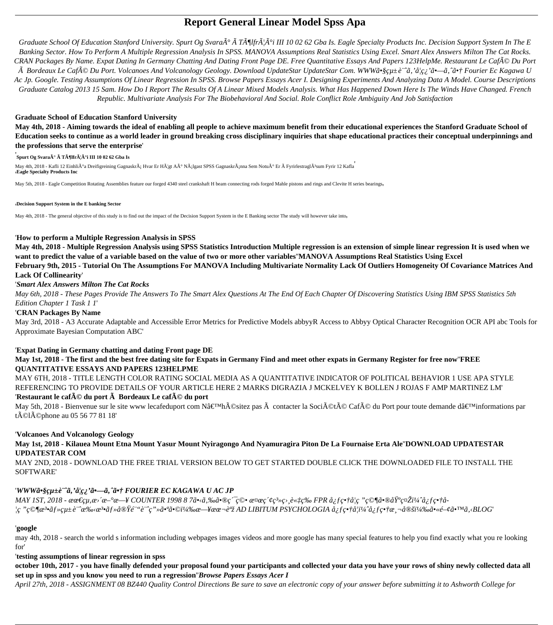# **Report General Linear Model Spss Apa**

*Graduate School Of Education Stanford University. Spurt Og Svara* $\tilde{A}^{\circ} \tilde{A}^{\circ} T \tilde{A}^{\circ} \tilde{H}$ *ffr* $\tilde{A}$ *'* $\tilde{A}^{\circ}$ *i III 10 02 62 Gba Is. Eagle Specialty Products Inc. Decision Support System In The E Banking Sector. How To Perform A Multiple Regression Analysis In SPSS. MANOVA Assumptions Real Statistics Using Excel. Smart Alex Answers Milton The Cat Rocks. CRAN Packages By Name. Expat Dating In Germany Chatting And Dating Front Page DE. Free Quantitative Essays And Papers 123HelpMe. Restaurant Le Café Du Port Bordeaux Le Café Du Port. Volcanoes And Volcanology Geology. Download UpdateStar UpdateStar Com. WWWã•§çµ±è ``ã, 'å¦ç¿ 'ã•—ã, ^㕆 Fourier Ec Kagawa U Ac Jp. Google. Testing Assumptions Of Linear Regression In SPSS. Browse Papers Essays Acer I. Designing Experiments And Analyzing Data A Model. Course Descriptions Graduate Catalog 2013 15 Sam. How Do I Report The Results Of A Linear Mixed Models Analysis. What Has Happened Down Here Is The Winds Have Changed. French Republic. Multivariate Analysis For The Biobehavioral And Social. Role Conflict Role Ambiguity And Job Satisfaction*

May 4th, 2018 - Kafli 12 Einhli°a Dreifigreining GagnaskrÂ; Hvar Er H¦gt Að N¡lgast SPSS Gagnaskr¡nna Sem Notuð Er FyrirlestraglÂ<sup>3</sup>sum Fyrir 12 Kafla '**Eagle Specialty Products Inc**

May 5th, 2018 - Eagle Competition Rotating Assemblies feature our forged 4340 steel crankshaft H beam connecting rods forged Mahle pistons and rings and Clevite H series bearings,

#### **Graduate School of Education Stanford University**

**May 4th, 2018 - Aiming towards the ideal of enabling all people to achieve maximum benefit from their educational experiences the Stanford Graduate School of Education seeks to continue as a world leader in ground breaking cross disciplinary inquiries that shape educational practices their conceptual underpinnings and the professions that serve the enterprise**'

#### '**Spurt Og Svarað à Tölfræði III 10 02 62 Gba Is**

#### '**Decision Support System in the E banking Sector**

May 4th, 2018 - The general objective of this study is to find out the impact of the Decision Support System in the E Banking sector The study will however take into,

#### '**How to perform a Multiple Regression Analysis in SPSS**

**May 4th, 2018 - Multiple Regression Analysis using SPSS Statistics Introduction Multiple regression is an extension of simple linear regression It is used when we want to predict the value of a variable based on the value of two or more other variables**''**MANOVA Assumptions Real Statistics Using Excel February 9th, 2015 - Tutorial On The Assumptions For MANOVA Including Multivariate Normality Lack Of Outliers Homogeneity Of Covariance Matrices And Lack Of Collinearity**'

#### '*Smart Alex Answers Milton The Cat Rocks*

*May 6th, 2018 - These Pages Provide The Answers To The Smart Alex Questions At The End Of Each Chapter Of Discovering Statistics Using IBM SPSS Statistics 5th Edition Chapter 1 Task 1 1*'

#### '**CRAN Packages By Name**

May 3rd, 2018 - A3 Accurate Adaptable and Accessible Error Metrics for Predictive Models abbyyR Access to Abbyy Optical Character Recognition OCR API abc Tools for Approximate Bayesian Computation ABC'

### '**Expat Dating in Germany chatting and dating Front page DE**

### **May 1st, 2018 - The first and the best free dating site for Expats in Germany Find and meet other expats in Germany Register for free now**''**FREE QUANTITATIVE ESSAYS AND PAPERS 123HELPME**

MAY 6TH, 2018 - TITLE LENGTH COLOR RATING SOCIAL MEDIA AS A QUANTITATIVE INDICATOR OF POLITICAL BEHAVIOR 1 USE APA STYLE REFERENCING TO PROVIDE DETAILS OF YOUR ARTICLE HERE 2 MARKS DIGRAZIA J MCKELVEY K BOLLEN J ROJAS F AMP MARTINEZ LM'

#### '**Restaurant le café du port à Bordeaux Le café du port**

May 5th, 2018 - Bienvenue sur le site www lecafeduport com Nâ $\epsilon^{\text{TM}}$ hésitez pas  $\tilde{A}$  contacter la Société Café du Port pour toute demande dâ $\epsilon^{\text{TM}}$ informations par tÁ©lÁ©phone au 05 56 77 81 18'

### '**Volcanoes And Volcanology Geology**

## **May 1st, 2018 - Kilauea Mount Etna Mount Yasur Mount Nyiragongo And Nyamuragira Piton De La Fournaise Erta Ale**''**DOWNLOAD UPDATESTAR UPDATESTAR COM**

MAY 2ND, 2018 - DOWNLOAD THE FREE TRIAL VERSION BELOW TO GET STARTED DOUBLE CLICK THE DOWNLOADED FILE TO INSTALL THE SOFTWARE'

## 'WWW $\tilde{a}$ •§çµ±è``^ $\tilde{a}$ , 'å¦ç¿' $\tilde{a}$ •— $\tilde{a}$ , ^ $\tilde{a}$ •† FOURIER EC KAGAWA U AC JP

*MAY 1ST, 2018 - œœ€çµ,œ>´œ*-<sup>o</sup>œ- ¥ COUNTER 1998 8 7ã•<ã,‰ã•®ç´ ç©• 検ç´¢ç<sup>3</sup>»ç>,談ç‰ FPR å¿f畆å¦ç "究㕮埰礎ĭ½^å¿f畆å-*¦ç "ç*©¶æ<sup>3</sup>•・çμ±è ``手æ<sup>3</sup>•・実験è¨^ç"»ã•ªã•©ï¼‰æ—¥ææ¬è<sup>a</sup>ž AD LIBITUM PSYCHOLOGIA å¿f畆å¦ï¼^å¿f畆測定)㕫関㕙ã,‹BLOG'

## '**google**

may 4th, 2018 - search the world s information including webpages images videos and more google has many special features to help you find exactly what you re looking for'

#### '**testing assumptions of linear regression in spss**

**october 10th, 2017 - you have finally defended your proposal found your participants and collected your data you have your rows of shiny newly collected data all set up in spss and you know you need to run a regression**''*Browse Papers Essays Acer I*

*April 27th, 2018 - ASSIGNMENT 08 BZ440 Quality Control Directions Be sure to save an electronic copy of your answer before submitting it to Ashworth College for*